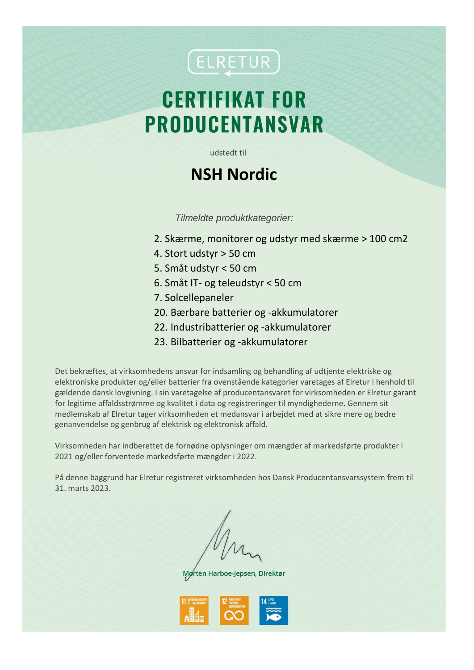## (ELRETUR)

# **CERTIFIKAT FOR PRODUCENTANSVAR**

udstedt til

#### **NSH Nordic**

*Tilmeldte produktkategorier:*

- 2. Skærme, monitorer og udstyr med skærme > 100 cm2
- 4. Stort udstyr > 50 cm
- 5. Småt udstyr < 50 cm
- 6. Småt IT- og teleudstyr < 50 cm
- 7. Solcellepaneler
- 20. Bærbare batterier og -akkumulatorer
- 22. Industribatterier og -akkumulatorer
- 23. Bilbatterier og -akkumulatorer

Det bekræftes, at virksomhedens ansvar for indsamling og behandling af udtjente elektriske og elektroniske produkter og/eller batterier fra ovenstående kategorier varetages af Elretur i henhold til gældende dansk lovgivning. I sin varetagelse af producentansvaret for virksomheden er Elretur garant for legitime affaldsstrømme og kvalitet i data og registreringer til myndighederne. Gennem sit medlemskab af Elretur tager virksomheden et medansvar i arbejdet med at sikre mere og bedre genanvendelse og genbrug af elektrisk og elektronisk affald.

Virksomheden har indberettet de fornødne oplysninger om mængder af markedsførte produkter i 2021 og/eller forventede markedsførte mængder i 2022.

På denne baggrund har Elretur registreret virksomheden hos Dansk Producentansvarssystem frem til 31. marts 2023.

Mørten Harboe-Jepsen, Direktør